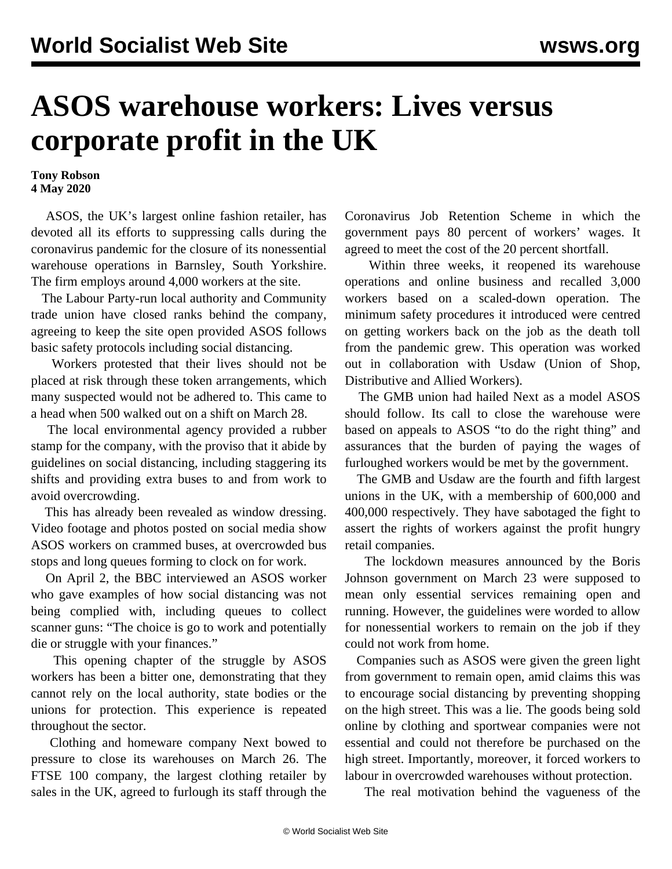## **ASOS warehouse workers: Lives versus corporate profit in the UK**

## **Tony Robson 4 May 2020**

 ASOS, the UK's largest online fashion retailer, has devoted all its efforts to suppressing calls during the coronavirus pandemic for the closure of its nonessential warehouse operations in Barnsley, South Yorkshire. The firm employs around 4,000 workers at the site.

 The Labour Party-run local authority and Community trade union have closed ranks behind the company, agreeing to keep the site open provided ASOS follows basic safety protocols including social distancing.

 Workers protested that their lives should not be placed at risk through these token arrangements, which many suspected would not be adhered to. This came to a head when 500 walked out on a shift on March 28.

 The local environmental agency provided a rubber stamp for the company, with the proviso that it abide by guidelines on social distancing, including staggering its shifts and providing extra buses to and from work to avoid overcrowding.

 This has already been revealed as window dressing. Video [footage](https://www.facebook.com/aparish1/videos/pcb.10220578558829699/10220578597790673/?type=3&theater) and [photos](https://www.facebook.com/photo.php?fbid=10220578532429039&set=pcb.10220578558829699&type=3&theater) posted on social media show ASOS workers on crammed buses, at overcrowded bus stops and long queues forming to clock on for work.

 On April 2, the BBC interviewed an ASOS worker who gave examples of how social distancing was not being complied with, including queues to collect scanner guns: "The choice is go to work and potentially die or struggle with your finances."

 This opening chapter of the struggle by ASOS workers has been a bitter one, demonstrating that they cannot rely on the local authority, state bodies or the unions for protection. This experience is repeated throughout the sector.

 Clothing and homeware company Next bowed to pressure to close its warehouses on March 26. The FTSE 100 company, the largest clothing retailer by sales in the UK, agreed to furlough its staff through the Coronavirus Job Retention Scheme in which the government pays 80 percent of workers' wages. It agreed to meet the cost of the 20 percent shortfall.

 Within three weeks, it reopened its warehouse operations and online business and recalled 3,000 workers based on a scaled-down operation. The minimum safety procedures it introduced were centred on getting workers back on the job as the death toll from the pandemic grew. This operation was worked out in collaboration with Usdaw (Union of Shop, Distributive and Allied Workers).

 The GMB union had hailed Next as a model ASOS should follow. Its call to close the warehouse were based on appeals to ASOS "to do the right thing" and assurances that the burden of paying the wages of furloughed workers would be met by the government.

 The GMB and Usdaw are the fourth and fifth largest unions in the UK, with a membership of 600,000 and 400,000 respectively. They have sabotaged the fight to assert the rights of workers against the profit hungry retail companies.

 The lockdown measures announced by the Boris Johnson government on March 23 were supposed to mean only essential services remaining open and running. However, the guidelines were worded to allow for nonessential workers to remain on the job if they could not work from home.

 Companies such as ASOS were given the green light from government to remain open, amid claims this was to encourage social distancing by preventing shopping on the high street. This was a lie. The goods being sold online by clothing and sportwear companies were not essential and could not therefore be purchased on the high street. Importantly, moreover, it forced workers to labour in overcrowded warehouses without protection.

The real motivation behind the vagueness of the